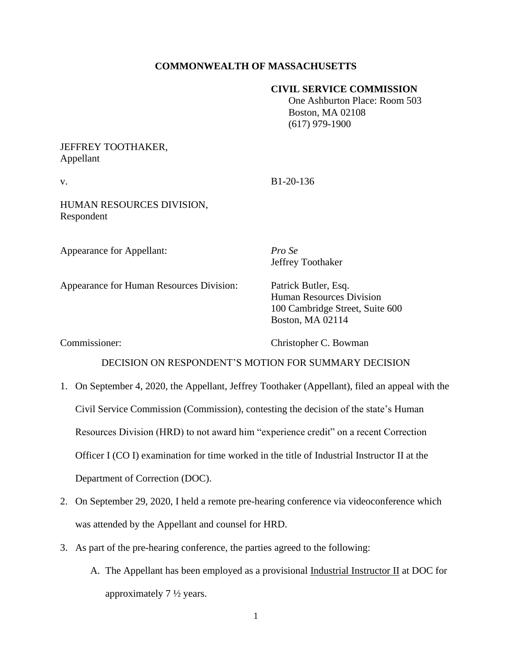# **COMMONWEALTH OF MASSACHUSETTS**

### **CIVIL SERVICE COMMISSION**

 One Ashburton Place: Room 503 Boston, MA 02108 (617) 979-1900

# JEFFREY TOOTHAKER, Appellant

v. B1-20-136

HUMAN RESOURCES DIVISION, Respondent

Appearance for Appellant: *Pro Se*

Appearance for Human Resources Division: Patrick Butler, Esq.

Jeffrey Toothaker

Human Resources Division 100 Cambridge Street, Suite 600 Boston, MA 02114

Commissioner: Christopher C. Bowman

## DECISION ON RESPONDENT'S MOTION FOR SUMMARY DECISION

- 1. On September 4, 2020, the Appellant, Jeffrey Toothaker (Appellant), filed an appeal with the Civil Service Commission (Commission), contesting the decision of the state's Human Resources Division (HRD) to not award him "experience credit" on a recent Correction Officer I (CO I) examination for time worked in the title of Industrial Instructor II at the Department of Correction (DOC).
- 2. On September 29, 2020, I held a remote pre-hearing conference via videoconference which was attended by the Appellant and counsel for HRD.
- 3. As part of the pre-hearing conference, the parties agreed to the following:
	- A. The Appellant has been employed as a provisional Industrial Instructor II at DOC for approximately 7 ½ years.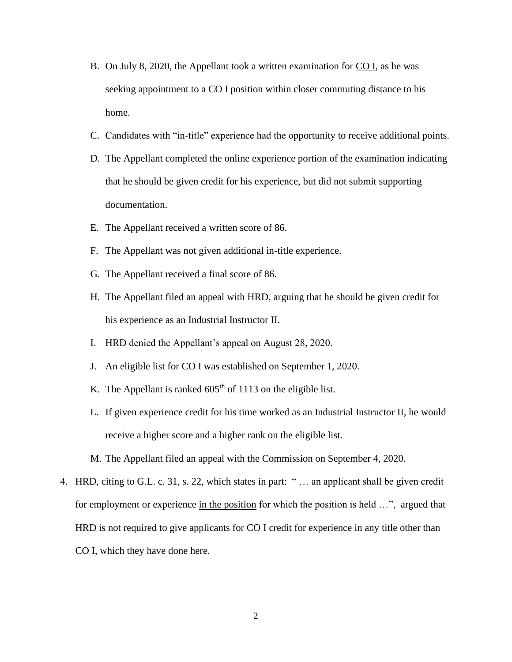- B. On July 8, 2020, the Appellant took a written examination for  $\overline{CO I}$ , as he was seeking appointment to a CO I position within closer commuting distance to his home.
- C. Candidates with "in-title" experience had the opportunity to receive additional points.
- D. The Appellant completed the online experience portion of the examination indicating that he should be given credit for his experience, but did not submit supporting documentation.
- E. The Appellant received a written score of 86.
- F. The Appellant was not given additional in-title experience.
- G. The Appellant received a final score of 86.
- H. The Appellant filed an appeal with HRD, arguing that he should be given credit for his experience as an Industrial Instructor II.
- I. HRD denied the Appellant's appeal on August 28, 2020.
- J. An eligible list for CO I was established on September 1, 2020.
- K. The Appellant is ranked  $605<sup>th</sup>$  of 1113 on the eligible list.
- L. If given experience credit for his time worked as an Industrial Instructor II, he would receive a higher score and a higher rank on the eligible list.
- M. The Appellant filed an appeal with the Commission on September 4, 2020.
- 4. HRD, citing to G.L. c. 31, s. 22, which states in part: " … an applicant shall be given credit for employment or experience in the position for which the position is held …", argued that HRD is not required to give applicants for CO I credit for experience in any title other than CO I, which they have done here.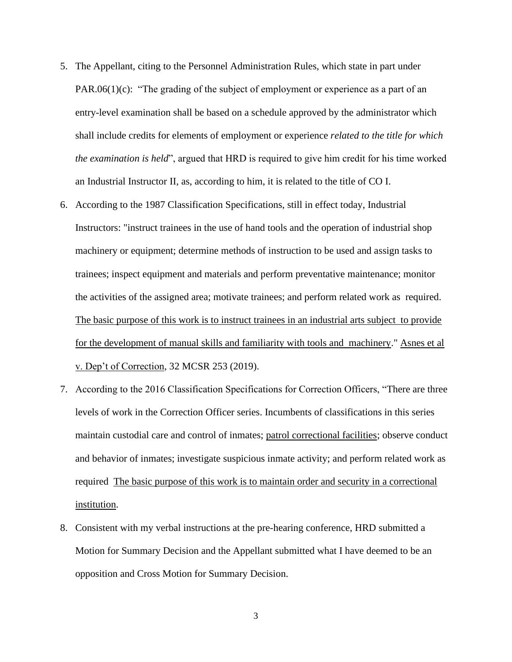- 5. The Appellant, citing to the Personnel Administration Rules, which state in part under  $PAR.06(1)(c)$ : "The grading of the subject of employment or experience as a part of an entry-level examination shall be based on a schedule approved by the administrator which shall include credits for elements of employment or experience *related to the title for which the examination is held*", argued that HRD is required to give him credit for his time worked an Industrial Instructor II, as, according to him, it is related to the title of CO I.
- 6. According to the 1987 Classification Specifications, still in effect today, Industrial Instructors: "instruct trainees in the use of hand tools and the operation of industrial shop machinery or equipment; determine methods of instruction to be used and assign tasks to trainees; inspect equipment and materials and perform preventative maintenance; monitor the activities of the assigned area; motivate trainees; and perform related work as required. The basic purpose of this work is to instruct trainees in an industrial arts subject to provide for the development of manual skills and familiarity with tools and machinery." Asnes et al v. Dep't of Correction, 32 MCSR 253 (2019).
- 7. According to the 2016 Classification Specifications for Correction Officers, "There are three levels of work in the Correction Officer series. Incumbents of classifications in this series maintain custodial care and control of inmates; patrol correctional facilities; observe conduct and behavior of inmates; investigate suspicious inmate activity; and perform related work as required The basic purpose of this work is to maintain order and security in a correctional institution.
- 8. Consistent with my verbal instructions at the pre-hearing conference, HRD submitted a Motion for Summary Decision and the Appellant submitted what I have deemed to be an opposition and Cross Motion for Summary Decision.

3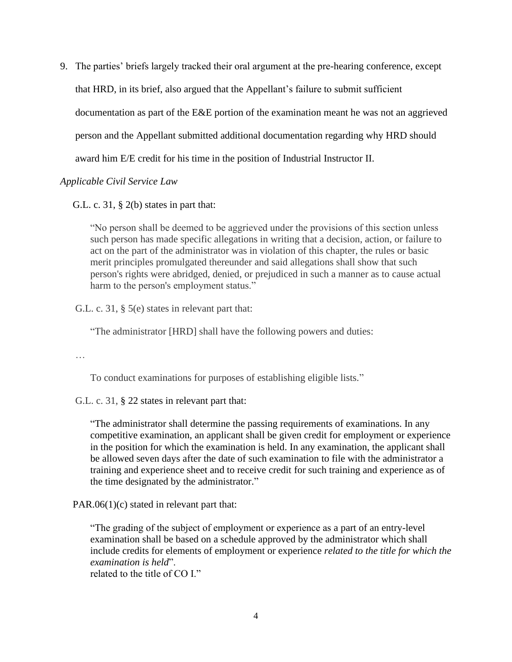9. The parties' briefs largely tracked their oral argument at the pre-hearing conference, except that HRD, in its brief, also argued that the Appellant's failure to submit sufficient documentation as part of the E&E portion of the examination meant he was not an aggrieved person and the Appellant submitted additional documentation regarding why HRD should award him E/E credit for his time in the position of Industrial Instructor II.

## *Applicable Civil Service Law*

G.L. c. 31,  $\S$  2(b) states in part that:

"No person shall be deemed to be aggrieved under the provisions of this section unless such person has made specific allegations in writing that a decision, action, or failure to act on the part of the administrator was in violation of this chapter, the rules or basic merit principles promulgated thereunder and said allegations shall show that such person's rights were abridged, denied, or prejudiced in such a manner as to cause actual harm to the person's employment status."

G.L. c. 31, § 5(e) states in relevant part that:

"The administrator [HRD] shall have the following powers and duties:

…

To conduct examinations for purposes of establishing eligible lists."

G.L. c. 31, § 22 states in relevant part that:

"The administrator shall determine the passing requirements of examinations. In any competitive examination, an applicant shall be given credit for employment or experience in the position for which the examination is held. In any examination, the applicant shall be allowed seven days after the date of such examination to file with the administrator a training and experience sheet and to receive credit for such training and experience as of the time designated by the administrator."

PAR.06(1)(c) stated in relevant part that:

"The grading of the subject of employment or experience as a part of an entry-level examination shall be based on a schedule approved by the administrator which shall include credits for elements of employment or experience *related to the title for which the examination is held*".

related to the title of CO I."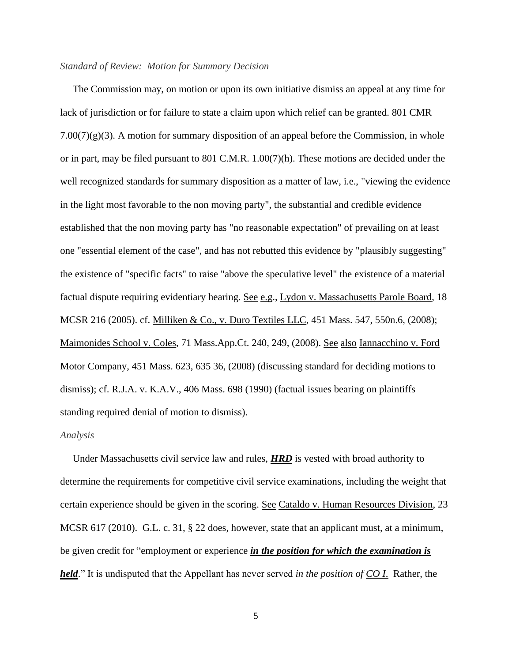#### *Standard of Review: Motion for Summary Decision*

 The Commission may, on motion or upon its own initiative dismiss an appeal at any time for lack of jurisdiction or for failure to state a claim upon which relief can be granted. 801 CMR  $7.00(7)(g)(3)$ . A motion for summary disposition of an appeal before the Commission, in whole or in part, may be filed pursuant to 801 C.M.R. 1.00(7)(h). These motions are decided under the well recognized standards for summary disposition as a matter of law, i.e., "viewing the evidence in the light most favorable to the non moving party", the substantial and credible evidence established that the non moving party has "no reasonable expectation" of prevailing on at least one "essential element of the case", and has not rebutted this evidence by "plausibly suggesting" the existence of "specific facts" to raise "above the speculative level" the existence of a material factual dispute requiring evidentiary hearing. See e.g., Lydon v. Massachusetts Parole Board, 18 MCSR 216 (2005). cf. Milliken & Co., v. Duro Textiles LLC, [451 Mass. 547,](http://sll.gvpi.net/document.php?field=jd&value=sjcapp:451_mass._547) 550n.6, (2008); Maimonides School v. Coles, 71 Mass.App.Ct. 240, 249, (2008). See also Iannacchino v. Ford Motor Company, [451 Mass. 623,](http://sll.gvpi.net/document.php?field=jd&value=sjcapp:451_mass._623) 635 36, (2008) (discussing standard for deciding motions to dismiss); cf. R.J.A. v. K.A.V., [406 Mass. 698](http://sll.gvpi.net/document.php?field=jd&value=sjcapp:406_mass._698) (1990) (factual issues bearing on plaintiffs standing required denial of motion to dismiss).

#### *Analysis*

 Under Massachusetts civil service law and rules, *HRD* is vested with broad authority to determine the requirements for competitive civil service examinations, including the weight that certain experience should be given in the scoring. See Cataldo v. Human Resources Division, 23 MCSR 617 (2010). G.L. c. 31, § 22 does, however, state that an applicant must, at a minimum, be given credit for "employment or experience *in the position for which the examination is held*." It is undisputed that the Appellant has never served *in the position of CO I*. Rather, the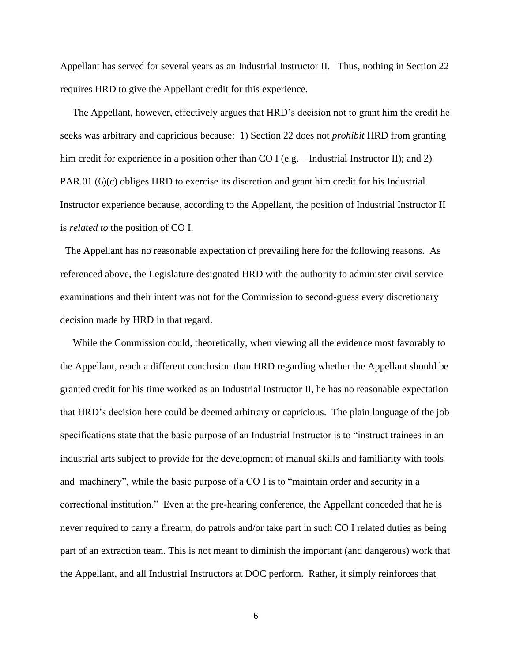Appellant has served for several years as an Industrial Instructor II. Thus, nothing in Section 22 requires HRD to give the Appellant credit for this experience.

 The Appellant, however, effectively argues that HRD's decision not to grant him the credit he seeks was arbitrary and capricious because: 1) Section 22 does not *prohibit* HRD from granting him credit for experience in a position other than CO I (e.g. – Industrial Instructor II); and 2) PAR.01 (6)(c) obliges HRD to exercise its discretion and grant him credit for his Industrial Instructor experience because, according to the Appellant, the position of Industrial Instructor II is *related to* the position of CO I.

The Appellant has no reasonable expectation of prevailing here for the following reasons. As referenced above, the Legislature designated HRD with the authority to administer civil service examinations and their intent was not for the Commission to second-guess every discretionary decision made by HRD in that regard.

 While the Commission could, theoretically, when viewing all the evidence most favorably to the Appellant, reach a different conclusion than HRD regarding whether the Appellant should be granted credit for his time worked as an Industrial Instructor II, he has no reasonable expectation that HRD's decision here could be deemed arbitrary or capricious. The plain language of the job specifications state that the basic purpose of an Industrial Instructor is to "instruct trainees in an industrial arts subject to provide for the development of manual skills and familiarity with tools and machinery", while the basic purpose of a CO I is to "maintain order and security in a correctional institution." Even at the pre-hearing conference, the Appellant conceded that he is never required to carry a firearm, do patrols and/or take part in such CO I related duties as being part of an extraction team. This is not meant to diminish the important (and dangerous) work that the Appellant, and all Industrial Instructors at DOC perform. Rather, it simply reinforces that

6